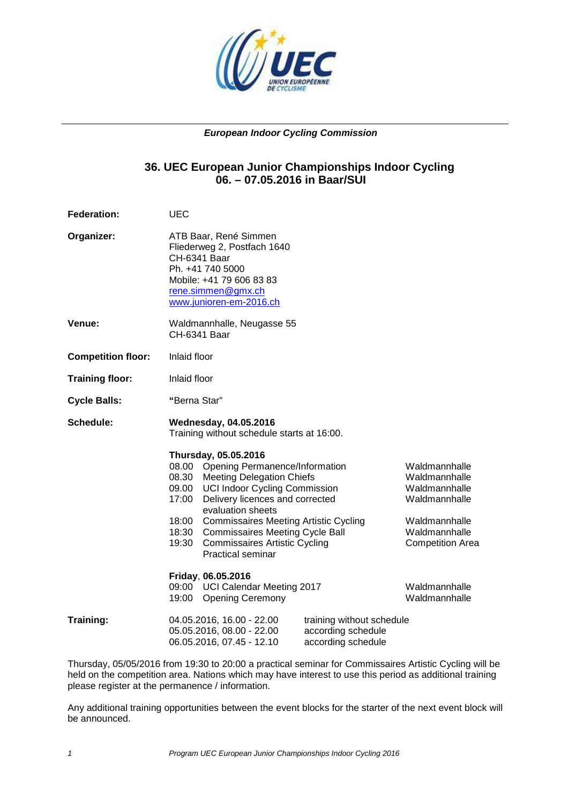

### **European Indoor Cycling Commission**

### **36. UEC European Junior Championships Indoor Cycling 06. – 07.05.2016 in Baar/SUI**

**Federation:** UEC **Organizer:** ATB Baar, René Simmen Fliederweg 2, Postfach 1640 CH-6341 Baar Ph. +41 740 5000 Mobile: +41 79 606 83 83 rene.simmen@gmx.ch www.junioren-em-2016.ch **Venue:** Waldmannhalle, Neugasse 55 CH-6341 Baar **Competition floor:** Inlaid floor **Training floor:** Inlaid floor **Cycle Balls: "**Berna Star" **Schedule: Wednesday, 04.05.2016** Training without schedule starts at 16:00.  **Thursday, 05.05.2016**  08.00 Opening Permanence/Information Waldmannhalle<br>08.30 Meeting Delegation Chiefs Waldmannhalle 08.30 Meeting Delegation Chiefs 09.00 UCI Indoor Cycling Commission Waldmannhalle<br>17:00 Delivery licences and corrected Waldmannhalle 17:00 Delivery licences and corrected evaluation sheets 18:00 Commissaires Meeting Artistic Cycling Waldmannhalle 18:30 Commissaires Meeting Cycle Ball Waldmannhalle 19:30 Commissaires Artistic Cycling Competition Area Practical seminar **Friday**, **06.05.2016**  09:00 UCI Calendar Meeting 2017 Valdmannhalle 19:00 Opening Ceremony Waldmannhalle **Training:** 04.05.2016, 16.00 - 22.00 training without schedule<br>05.05.2016, 08.00 - 22.00 according schedule 05.05.2016, 08.00 - 22.00 06.05.2016, 07.45 - 12.10 according schedule

Thursday, 05/05/2016 from 19:30 to 20:00 a practical seminar for Commissaires Artistic Cycling will be held on the competition area. Nations which may have interest to use this period as additional training please register at the permanence / information.

Any additional training opportunities between the event blocks for the starter of the next event block will be announced.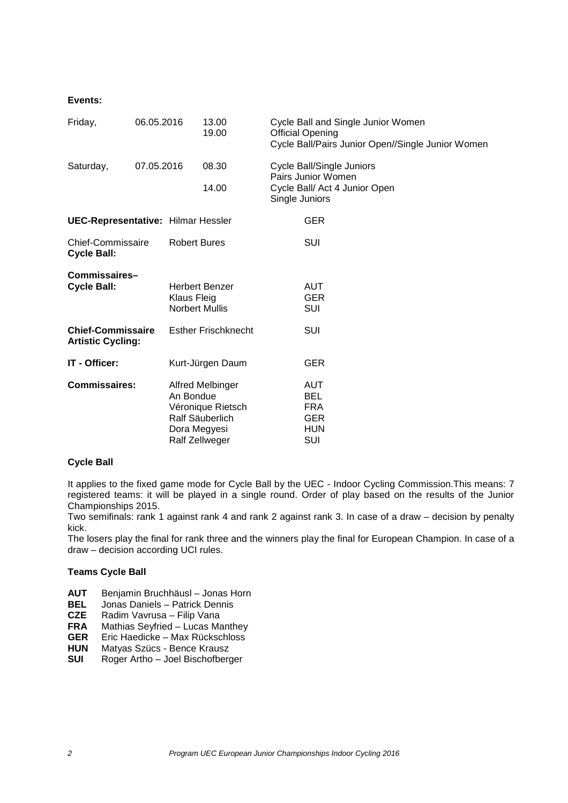### **Events:**

| Friday,                                              | 06.05.2016 |                               | 13.00<br>19.00                                                             |                | Cycle Ball and Single Junior Women<br><b>Official Opening</b><br>Cycle Ball/Pairs Junior Open//Single Junior Women |
|------------------------------------------------------|------------|-------------------------------|----------------------------------------------------------------------------|----------------|--------------------------------------------------------------------------------------------------------------------|
| Saturday,                                            | 07.05.2016 |                               | 08.30<br>14.00                                                             | Single Juniors | <b>Cycle Ball/Single Juniors</b><br>Pairs Junior Women<br>Cycle Ball/ Act 4 Junior Open                            |
| <b>UEC-Representative: Hilmar Hessler</b>            |            |                               |                                                                            |                | <b>GER</b>                                                                                                         |
| Chief-Commissaire<br><b>Cycle Ball:</b>              |            | <b>Robert Bures</b>           |                                                                            |                | SUI                                                                                                                |
| Commissaires-<br><b>Cycle Ball:</b>                  |            | Klaus Fleig<br>Norbert Mullis | <b>Herbert Benzer</b>                                                      |                | AUT<br><b>GER</b><br>SUI                                                                                           |
| <b>Chief-Commissaire</b><br><b>Artistic Cycling:</b> |            |                               | <b>Esther Frischknecht</b>                                                 |                | SUI                                                                                                                |
| IT - Officer:                                        |            |                               | Kurt-Jürgen Daum                                                           |                | <b>GER</b>                                                                                                         |
| <b>Commissaires:</b>                                 |            | An Bondue<br>Dora Megyesi     | Alfred Melbinger<br>Véronique Rietsch<br>Ralf Säuberlich<br>Ralf Zellweger |                | AUT<br><b>BEL</b><br><b>FRA</b><br><b>GER</b><br><b>HUN</b><br>SUI                                                 |

#### **Cycle Ball**

It applies to the fixed game mode for Cycle Ball by the UEC - Indoor Cycling Commission.This means: 7 registered teams: it will be played in a single round. Order of play based on the results of the Junior Championships 2015.

Two semifinals: rank 1 against rank 4 and rank 2 against rank 3. In case of a draw – decision by penalty kick.

The losers play the final for rank three and the winners play the final for European Champion. In case of a draw – decision according UCI rules.

#### **Teams Cycle Ball**

- **AUT** Benjamin Bruchhäusl Jonas Horn
- **BEL** Jonas Daniels Patrick Dennis
- **CZE** Radim Vavrusa Filip Vana
- **FRA** Mathias Seyfried Lucas Manthey
- **GER** Eric Haedicke Max Rückschloss
- **HUN** Matyas Szücs Bence Krausz
- **SUI** Roger Artho Joel Bischofberger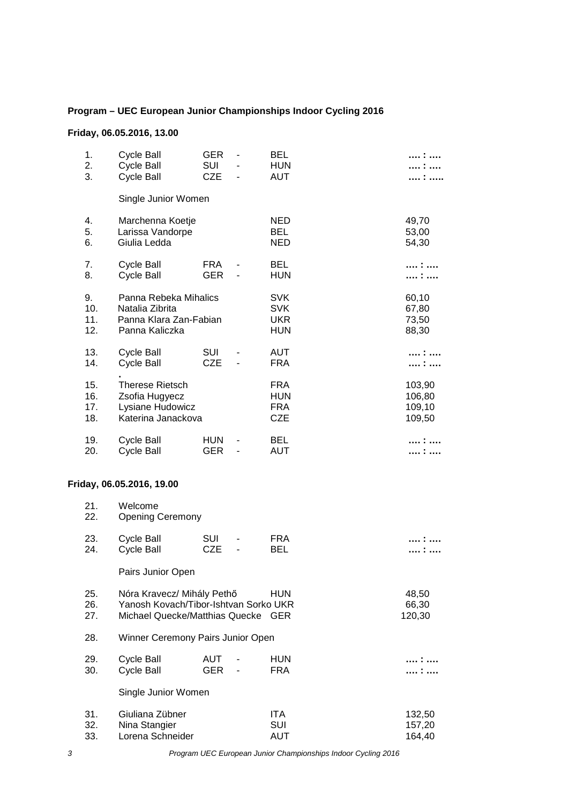## **Program – UEC European Junior Championships Indoor Cycling 2016**

## **Friday, 06.05.2016, 13.00**

| 1.<br>2.<br>3.           | <b>Cycle Ball</b><br><b>Cycle Ball</b><br><b>Cycle Ball</b>                                           | <b>GER</b><br><b>SUI</b><br><b>CZE</b> | <b>BEL</b><br><b>HUN</b><br><b>AUT</b>               |                                      |
|--------------------------|-------------------------------------------------------------------------------------------------------|----------------------------------------|------------------------------------------------------|--------------------------------------|
|                          | Single Junior Women                                                                                   |                                        |                                                      |                                      |
| 4.<br>5.<br>6.           | Marchenna Koetje<br>Larissa Vandorpe<br>Giulia Ledda                                                  |                                        | <b>NED</b><br><b>BEL</b><br><b>NED</b>               | 49,70<br>53,00<br>54,30              |
| 7.<br>8.                 | <b>Cycle Ball</b><br><b>Cycle Ball</b>                                                                | <b>FRA</b><br><b>GER</b>               | <b>BEL</b><br><b>HUN</b>                             | . :                                  |
| 9.<br>10.<br>11.<br>12.  | Panna Rebeka Mihalics<br>Natalia Zibrita<br>Panna Klara Zan-Fabian<br>Panna Kaliczka                  |                                        | <b>SVK</b><br><b>SVK</b><br><b>UKR</b><br><b>HUN</b> | 60,10<br>67,80<br>73,50<br>88,30     |
| 13.<br>14.               | <b>Cycle Ball</b><br><b>Cycle Ball</b>                                                                | <b>SUI</b><br><b>CZE</b>               | AUT<br><b>FRA</b>                                    |                                      |
| 15.<br>16.<br>17.<br>18. | <b>Therese Rietsch</b><br>Zsofia Hugyecz<br>Lysiane Hudowicz<br>Katerina Janackova                    |                                        | <b>FRA</b><br><b>HUN</b><br><b>FRA</b><br><b>CZE</b> | 103,90<br>106,80<br>109,10<br>109,50 |
| 19.<br>20.               | <b>Cycle Ball</b><br><b>Cycle Ball</b>                                                                | <b>HUN</b><br><b>GER</b>               | <b>BEL</b><br><b>AUT</b>                             | :                                    |
|                          | Friday, 06.05.2016, 19.00                                                                             |                                        |                                                      |                                      |
| 21.<br>22.               | Welcome<br><b>Opening Ceremony</b>                                                                    |                                        |                                                      |                                      |
| 23.<br>24.               | Cycle Ball<br><b>Cycle Ball</b>                                                                       | SUI<br><b>CZE</b>                      | <b>FRA</b><br>BEL                                    |                                      |
|                          | Pairs Junior Open                                                                                     |                                        |                                                      |                                      |
| 25.<br>26.<br>27.        | Nóra Kravecz/ Mihály Pethő<br>Yanosh Kovach/Tibor-Ishtvan Sorko UKR<br>Michael Quecke/Matthias Quecke |                                        | <b>HUN</b><br><b>GER</b>                             | 48,50<br>66,30<br>120,30             |
| 28.                      | Winner Ceremony Pairs Junior Open                                                                     |                                        |                                                      |                                      |

| 29. | Cycle Ball | AUT - | HUN |  |
|-----|------------|-------|-----|--|
| 30. | Cycle Ball | GER - | FRA |  |

Single Junior Women

| 31. | Giuliana Zübner  | ITA. | 132.50 |
|-----|------------------|------|--------|
| 32. | Nina Stangier    | SUI  | 157.20 |
| 33. | Lorena Schneider | AUT  | 164.40 |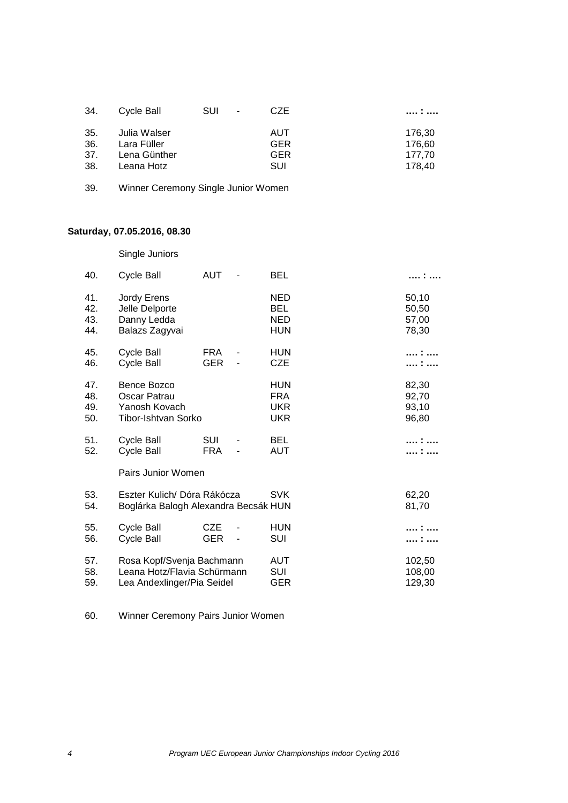| 34.  | Cycle Ball   | <b>SUI</b><br>$\blacksquare$ | <b>CZE</b> | .      |
|------|--------------|------------------------------|------------|--------|
| 35.  | Julia Walser |                              | AUT        | 176.30 |
| -36. | Lara Füller  |                              | <b>GER</b> | 176,60 |
| 37.  | Lena Günther |                              | <b>GER</b> | 177.70 |
| 38.  | Leana Hotz   |                              | SUI        | 178.40 |

| 39. |  | Winner Ceremony Single Junior Women |  |  |  |
|-----|--|-------------------------------------|--|--|--|
|-----|--|-------------------------------------|--|--|--|

# **Saturday, 07.05.2016, 08.30**

Single Juniors

| 40.                      | <b>Cycle Ball</b>                                                                      | <b>AUT</b>               | BEL                                                  |                                  |
|--------------------------|----------------------------------------------------------------------------------------|--------------------------|------------------------------------------------------|----------------------------------|
| 41.<br>42.<br>43.<br>44. | Jordy Erens<br>Jelle Delporte<br>Danny Ledda<br>Balazs Zagyvai                         |                          | <b>NED</b><br><b>BEL</b><br><b>NED</b><br><b>HUN</b> | 50,10<br>50,50<br>57,00<br>78,30 |
| 45.<br>46.               | Cycle Ball<br>Cycle Ball                                                               | <b>FRA</b><br><b>GER</b> | <b>HUN</b><br><b>CZE</b>                             |                                  |
| 47.<br>48.<br>49.<br>50. | Bence Bozco<br>Oscar Patrau<br>Yanosh Kovach<br><b>Tibor-Ishtvan Sorko</b>             |                          | <b>HUN</b><br><b>FRA</b><br><b>UKR</b><br><b>UKR</b> | 82,30<br>92,70<br>93,10<br>96,80 |
| 51.<br>52.               | Cycle Ball<br><b>Cycle Ball</b><br>Pairs Junior Women                                  | SUI<br><b>FRA</b>        | <b>BEL</b><br>AUT                                    | . :                              |
| 53.<br>54.               | Eszter Kulich/ Dóra Rákócza<br>Boglárka Balogh Alexandra Becsák HUN                    |                          | <b>SVK</b>                                           | 62,20<br>81,70                   |
| 55.<br>56.               | Cycle Ball<br><b>Cycle Ball</b>                                                        | <b>CZE</b><br>GER        | <b>HUN</b><br>SUI                                    |                                  |
| 57.<br>58.<br>59.        | Rosa Kopf/Svenja Bachmann<br>Leana Hotz/Flavia Schürmann<br>Lea Andexlinger/Pia Seidel |                          | AUT<br><b>SUI</b><br>GER                             | 102,50<br>108,00<br>129,30       |

60. Winner Ceremony Pairs Junior Women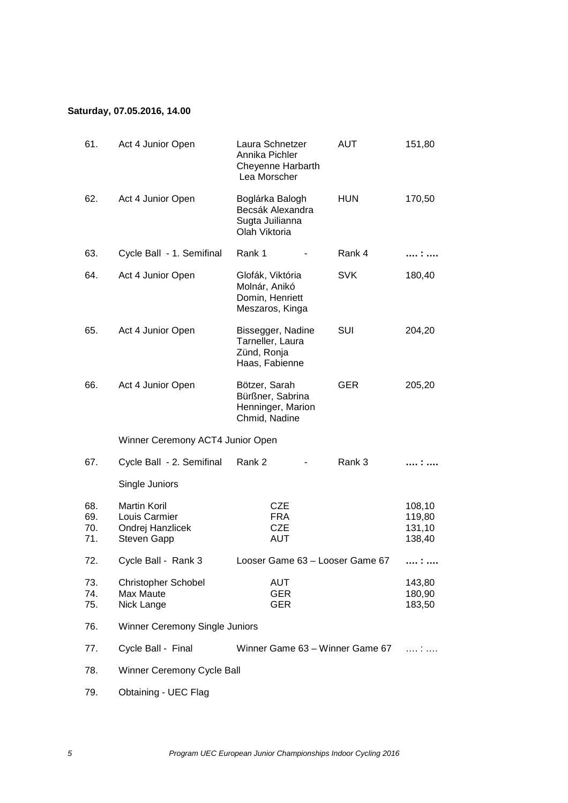## **Saturday, 07.05.2016, 14.00**

| 61.                      | Act 4 Junior Open                                                       | Laura Schnetzer<br>Annika Pichler<br><b>Cheyenne Harbarth</b><br>Lea Morscher | <b>AUT</b> | 151,80                               |
|--------------------------|-------------------------------------------------------------------------|-------------------------------------------------------------------------------|------------|--------------------------------------|
| 62.                      | Act 4 Junior Open                                                       | Boglárka Balogh<br>Becsák Alexandra<br>Sugta Juilianna<br>Olah Viktoria       | <b>HUN</b> | 170,50                               |
| 63.                      | Cycle Ball - 1. Semifinal                                               | Rank 1                                                                        | Rank 4     |                                      |
| 64.                      | Act 4 Junior Open                                                       | Glofák, Viktória<br>Molnár, Anikó<br>Domin, Henriett<br>Meszaros, Kinga       | <b>SVK</b> | 180,40                               |
| 65.                      | Act 4 Junior Open                                                       | Bissegger, Nadine<br>Tarneller, Laura<br>Zünd, Ronja<br>Haas, Fabienne        | SUI        | 204,20                               |
| 66.                      | Act 4 Junior Open                                                       | Bötzer, Sarah<br>Bürßner, Sabrina<br>Henninger, Marion<br>Chmid, Nadine       | <b>GER</b> | 205,20                               |
|                          | Winner Ceremony ACT4 Junior Open                                        |                                                                               |            |                                      |
| 67.                      | Cycle Ball - 2. Semifinal                                               | Rank 2                                                                        | Rank 3     |                                      |
|                          | Single Juniors                                                          |                                                                               |            |                                      |
| 68.<br>69.<br>70.<br>71. | <b>Martin Koril</b><br>Louis Carmier<br>Ondrej Hanzlicek<br>Steven Gapp | <b>CZE</b><br><b>FRA</b><br><b>CZE</b><br><b>AUT</b>                          |            | 108,10<br>119,80<br>131,10<br>138,40 |
| 72.                      | Cycle Ball - Rank 3                                                     | Looser Game 63 - Looser Game 67                                               |            |                                      |
| 73.<br>74.<br>75.        | <b>Christopher Schobel</b><br>Max Maute<br>Nick Lange                   | <b>AUT</b><br><b>GER</b><br><b>GER</b>                                        |            | 143,80<br>180,90<br>183,50           |
| 76.                      | Winner Ceremony Single Juniors                                          |                                                                               |            |                                      |
| 77.                      | Cycle Ball - Final                                                      | Winner Game 63 - Winner Game 67                                               |            | . <i>.</i>                           |
| 78.                      | Winner Ceremony Cycle Ball                                              |                                                                               |            |                                      |
| 79.                      | Obtaining - UEC Flag                                                    |                                                                               |            |                                      |